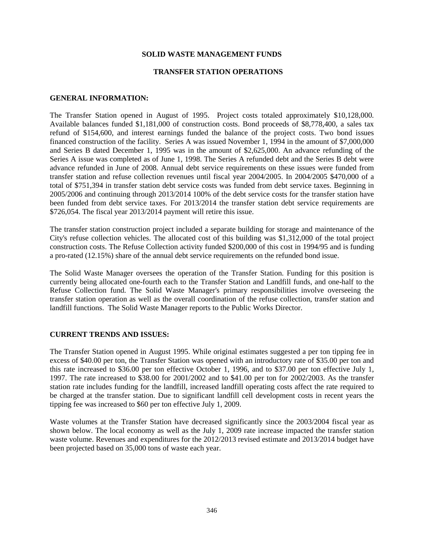# **SOLID WASTE MANAGEMENT FUNDS**

# **TRANSFER STATION OPERATIONS**

# **GENERAL INFORMATION:**

The Transfer Station opened in August of 1995. Project costs totaled approximately \$10,128,000. Available balances funded \$1,181,000 of construction costs. Bond proceeds of \$8,778,400, a sales tax refund of \$154,600, and interest earnings funded the balance of the project costs. Two bond issues financed construction of the facility. Series A was issued November 1, 1994 in the amount of \$7,000,000 and Series B dated December 1, 1995 was in the amount of \$2,625,000. An advance refunding of the Series A issue was completed as of June 1, 1998. The Series A refunded debt and the Series B debt were advance refunded in June of 2008. Annual debt service requirements on these issues were funded from transfer station and refuse collection revenues until fiscal year 2004/2005. In 2004/2005 \$470,000 of a total of \$751,394 in transfer station debt service costs was funded from debt service taxes. Beginning in 2005/2006 and continuing through 2013/2014 100% of the debt service costs for the transfer station have been funded from debt service taxes. For 2013/2014 the transfer station debt service requirements are \$726,054. The fiscal year 2013/2014 payment will retire this issue.

The transfer station construction project included a separate building for storage and maintenance of the City's refuse collection vehicles. The allocated cost of this building was \$1,312,000 of the total project construction costs. The Refuse Collection activity funded \$200,000 of this cost in 1994/95 and is funding a pro-rated (12.15%) share of the annual debt service requirements on the refunded bond issue.

The Solid Waste Manager oversees the operation of the Transfer Station. Funding for this position is currently being allocated one-fourth each to the Transfer Station and Landfill funds, and one-half to the Refuse Collection fund. The Solid Waste Manager's primary responsibilities involve overseeing the transfer station operation as well as the overall coordination of the refuse collection, transfer station and landfill functions. The Solid Waste Manager reports to the Public Works Director.

# **CURRENT TRENDS AND ISSUES:**

The Transfer Station opened in August 1995. While original estimates suggested a per ton tipping fee in excess of \$40.00 per ton, the Transfer Station was opened with an introductory rate of \$35.00 per ton and this rate increased to \$36.00 per ton effective October 1, 1996, and to \$37.00 per ton effective July 1, 1997. The rate increased to \$38.00 for 2001/2002 and to \$41.00 per ton for 2002/2003. As the transfer station rate includes funding for the landfill, increased landfill operating costs affect the rate required to be charged at the transfer station. Due to significant landfill cell development costs in recent years the tipping fee was increased to \$60 per ton effective July 1, 2009.

Waste volumes at the Transfer Station have decreased significantly since the 2003/2004 fiscal year as shown below. The local economy as well as the July 1, 2009 rate increase impacted the transfer station waste volume. Revenues and expenditures for the 2012/2013 revised estimate and 2013/2014 budget have been projected based on 35,000 tons of waste each year.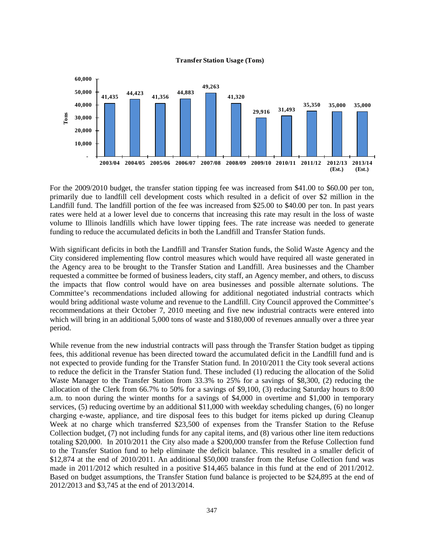



For the 2009/2010 budget, the transfer station tipping fee was increased from \$41.00 to \$60.00 per ton, primarily due to landfill cell development costs which resulted in a deficit of over \$2 million in the Landfill fund. The landfill portion of the fee was increased from \$25.00 to \$40.00 per ton. In past years rates were held at a lower level due to concerns that increasing this rate may result in the loss of waste volume to Illinois landfills which have lower tipping fees. The rate increase was needed to generate funding to reduce the accumulated deficits in both the Landfill and Transfer Station funds.

With significant deficits in both the Landfill and Transfer Station funds, the Solid Waste Agency and the City considered implementing flow control measures which would have required all waste generated in the Agency area to be brought to the Transfer Station and Landfill. Area businesses and the Chamber requested a committee be formed of business leaders, city staff, an Agency member, and others, to discuss the impacts that flow control would have on area businesses and possible alternate solutions. The Committee's recommendations included allowing for additional negotiated industrial contracts which would bring additional waste volume and revenue to the Landfill. City Council approved the Committee's recommendations at their October 7, 2010 meeting and five new industrial contracts were entered into which will bring in an additional 5,000 tons of waste and \$180,000 of revenues annually over a three year period.

While revenue from the new industrial contracts will pass through the Transfer Station budget as tipping fees, this additional revenue has been directed toward the accumulated deficit in the Landfill fund and is not expected to provide funding for the Transfer Station fund. In 2010/2011 the City took several actions to reduce the deficit in the Transfer Station fund. These included (1) reducing the allocation of the Solid Waste Manager to the Transfer Station from 33.3% to 25% for a savings of \$8,300, (2) reducing the allocation of the Clerk from 66.7% to 50% for a savings of \$9,100, (3) reducing Saturday hours to 8:00 a.m. to noon during the winter months for a savings of \$4,000 in overtime and \$1,000 in temporary services, (5) reducing overtime by an additional \$11,000 with weekday scheduling changes, (6) no longer charging e-waste, appliance, and tire disposal fees to this budget for items picked up during Cleanup Week at no charge which transferred \$23,500 of expenses from the Transfer Station to the Refuse Collection budget, (7) not including funds for any capital items, and (8) various other line item reductions totaling \$20,000. In 2010/2011 the City also made a \$200,000 transfer from the Refuse Collection fund to the Transfer Station fund to help eliminate the deficit balance. This resulted in a smaller deficit of \$12,874 at the end of 2010/2011. An additional \$50,000 transfer from the Refuse Collection fund was made in 2011/2012 which resulted in a positive \$14,465 balance in this fund at the end of 2011/2012. Based on budget assumptions, the Transfer Station fund balance is projected to be \$24,895 at the end of 2012/2013 and \$3,745 at the end of 2013/2014.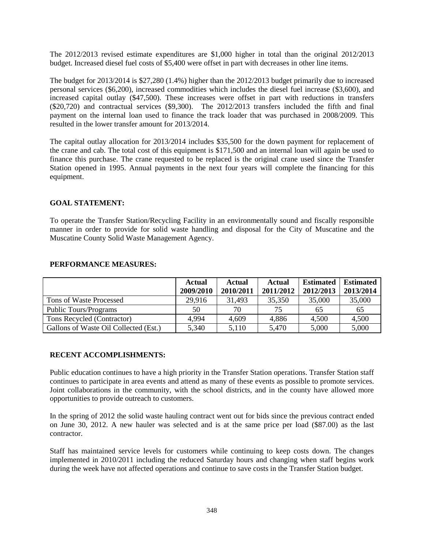The 2012/2013 revised estimate expenditures are \$1,000 higher in total than the original 2012/2013 budget. Increased diesel fuel costs of \$5,400 were offset in part with decreases in other line items.

The budget for 2013/2014 is \$27,280 (1.4%) higher than the 2012/2013 budget primarily due to increased personal services (\$6,200), increased commodities which includes the diesel fuel increase (\$3,600), and increased capital outlay (\$47,500). These increases were offset in part with reductions in transfers (\$20,720) and contractual services (\$9,300). The 2012/2013 transfers included the fifth and final payment on the internal loan used to finance the track loader that was purchased in 2008/2009. This resulted in the lower transfer amount for 2013/2014.

The capital outlay allocation for 2013/2014 includes \$35,500 for the down payment for replacement of the crane and cab. The total cost of this equipment is \$171,500 and an internal loan will again be used to finance this purchase. The crane requested to be replaced is the original crane used since the Transfer Station opened in 1995. Annual payments in the next four years will complete the financing for this equipment.

# **GOAL STATEMENT:**

To operate the Transfer Station/Recycling Facility in an environmentally sound and fiscally responsible manner in order to provide for solid waste handling and disposal for the City of Muscatine and the Muscatine County Solid Waste Management Agency.

|                                       | Actual<br>2009/2010 | <b>Actual</b><br>2010/2011 | Actual<br>2011/2012 | <b>Estimated</b><br>2012/2013 | <b>Estimated</b><br>2013/2014 |
|---------------------------------------|---------------------|----------------------------|---------------------|-------------------------------|-------------------------------|
| Tons of Waste Processed               | 29.916              | 31.493                     | 35,350              | 35,000                        | 35,000                        |
| <b>Public Tours/Programs</b>          | 50                  | 70                         | 75                  | 65                            | 65                            |
| Tons Recycled (Contractor)            | 4,994               | 4,609                      | 4,886               | 4,500                         | 4,500                         |
| Gallons of Waste Oil Collected (Est.) | 5,340               | 5,110                      | 5,470               | 5,000                         | 5,000                         |

# **PERFORMANCE MEASURES:**

# **RECENT ACCOMPLISHMENTS:**

Public education continues to have a high priority in the Transfer Station operations. Transfer Station staff continues to participate in area events and attend as many of these events as possible to promote services. Joint collaborations in the community, with the school districts, and in the county have allowed more opportunities to provide outreach to customers.

In the spring of 2012 the solid waste hauling contract went out for bids since the previous contract ended on June 30, 2012. A new hauler was selected and is at the same price per load (\$87.00) as the last contractor.

Staff has maintained service levels for customers while continuing to keep costs down. The changes implemented in 2010/2011 including the reduced Saturday hours and changing when staff begins work during the week have not affected operations and continue to save costs in the Transfer Station budget.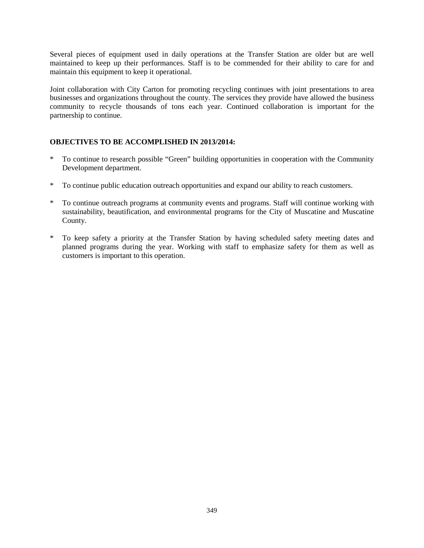Several pieces of equipment used in daily operations at the Transfer Station are older but are well maintained to keep up their performances. Staff is to be commended for their ability to care for and maintain this equipment to keep it operational.

Joint collaboration with City Carton for promoting recycling continues with joint presentations to area businesses and organizations throughout the county. The services they provide have allowed the business community to recycle thousands of tons each year. Continued collaboration is important for the partnership to continue.

# **OBJECTIVES TO BE ACCOMPLISHED IN 2013/2014:**

- \* To continue to research possible "Green" building opportunities in cooperation with the Community Development department.
- \* To continue public education outreach opportunities and expand our ability to reach customers.
- \* To continue outreach programs at community events and programs. Staff will continue working with sustainability, beautification, and environmental programs for the City of Muscatine and Muscatine County.
- \* To keep safety a priority at the Transfer Station by having scheduled safety meeting dates and planned programs during the year. Working with staff to emphasize safety for them as well as customers is important to this operation.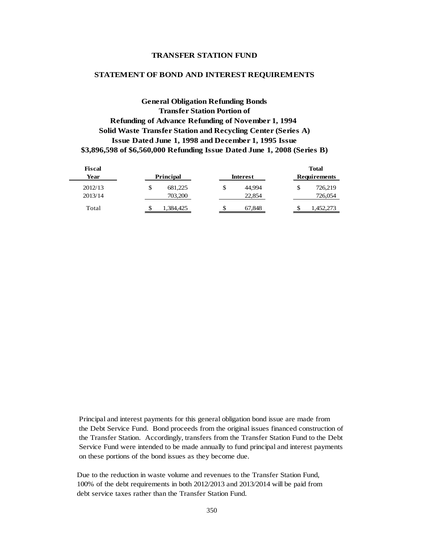### **TRANSFER STATION FUND**

#### **STATEMENT OF BOND AND INTEREST REQUIREMENTS**

**General Obligation Refunding Bonds Transfer Station Portion of Refunding of Advance Refunding of November 1, 1994 Solid Waste Transfer Station and Recycling Center (Series A) Issue Dated June 1, 1998 and December 1, 1995 Issue \$3,896,598 of \$6,560,000 Refunding Issue Dated June 1, 2008 (Series B)**

| Fiscal  |                  |                 | <b>Total</b>        |
|---------|------------------|-----------------|---------------------|
| Year    | <b>Principal</b> | <b>Interest</b> | <b>Requirements</b> |
| 2012/13 | \$<br>681,225    | 44.994<br>\$    | 726,219             |
| 2013/14 | 703,200          | 22,854          | 726,054             |
| Total   | 1,384,425        | S<br>67,848     | ,452,273            |

 Principal and interest payments for this general obligation bond issue are made from the Debt Service Fund. Bond proceeds from the original issues financed construction of the Transfer Station. Accordingly, transfers from the Transfer Station Fund to the Debt Service Fund were intended to be made annually to fund principal and interest payments on these portions of the bond issues as they become due.

 Due to the reduction in waste volume and revenues to the Transfer Station Fund, 100% of the debt requirements in both 2012/2013 and 2013/2014 will be paid from debt service taxes rather than the Transfer Station Fund.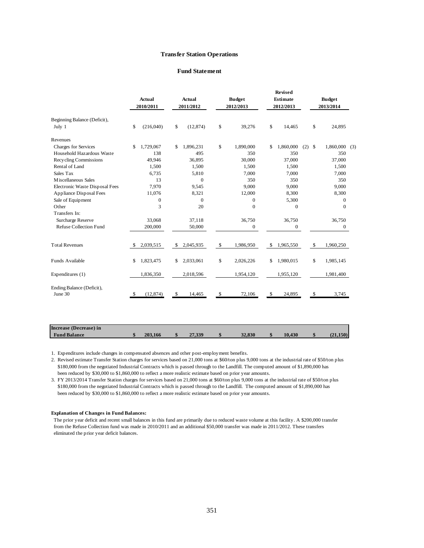#### **Transfer Station Operations**

#### **Fund Statement**

|                                        |     | <b>Actual</b><br>2010/2011 |               | <b>Actual</b><br>2011/2012 | <b>Budget</b><br>2012/2013 |    | <b>Revised</b><br><b>Estimate</b><br>2012/2013 |     |              | <b>Budget</b><br>2013/2014 |     |  |
|----------------------------------------|-----|----------------------------|---------------|----------------------------|----------------------------|----|------------------------------------------------|-----|--------------|----------------------------|-----|--|
| Beginning Balance (Deficit),<br>July 1 | \$  | (216,040)                  | \$            | (12, 874)                  | \$<br>39,276               | \$ | 14,465                                         |     | \$           | 24,895                     |     |  |
| Revenues                               |     |                            |               |                            |                            |    |                                                |     |              |                            |     |  |
| Charges for Services                   | \$  | 1,729,067                  | \$            | 1,896,231                  | \$<br>1,890,000            | \$ | 1,860,000                                      | (2) | $\mathbb{S}$ | 1,860,000                  | (3) |  |
| Household Hazardous Waste              |     | 138                        |               | 495                        | 350                        |    | 350                                            |     |              | 350                        |     |  |
| Recycling Commissions                  |     | 49,946                     |               | 36,895                     | 30,000                     |    | 37,000                                         |     |              | 37,000                     |     |  |
| Rental of Land                         |     | 1,500                      |               | 1,500                      | 1,500                      |    | 1,500                                          |     |              | 1,500                      |     |  |
| Sales Tax                              |     | 6,735                      |               | 5,810                      | 7,000                      |    | 7,000                                          |     |              | 7,000                      |     |  |
| M iscellaneous Sales                   |     | 13                         |               | $\mathbf{0}$               | 350                        |    | 350                                            |     |              | 350                        |     |  |
| Electronic Waste Disposal Fees         |     | 7,970                      |               | 9,545                      | 9,000                      |    | 9,000                                          |     |              | 9,000                      |     |  |
| <b>Appliance Disposal Fees</b>         |     | 11,076                     |               | 8,321                      | 12,000                     |    | 8,300                                          |     |              | 8,300                      |     |  |
| Sale of Equipment                      |     | $\overline{0}$             |               | $\mathbf{0}$               | $\Omega$                   |    | 5,300                                          |     |              | $\mathbf{0}$               |     |  |
| Other                                  |     | 3                          |               | 20                         | $\mathbf{0}$               |    | $\boldsymbol{0}$                               |     |              | $\mathbf{0}$               |     |  |
| Transfers In:                          |     |                            |               |                            |                            |    |                                                |     |              |                            |     |  |
| Surcharge Reserve                      |     | 33,068                     |               | 37,118                     | 36,750                     |    | 36,750                                         |     |              | 36,750                     |     |  |
| <b>Refuse Collection Fund</b>          |     | 200,000                    |               | 50,000                     | $\mathbf{0}$               |    | $\boldsymbol{0}$                               |     |              | $\mathbf{0}$               |     |  |
| <b>Total Revenues</b>                  | \$. | 2,039,515                  | <sup>\$</sup> | 2,045,935                  | \$<br>1,986,950            | S  | 1,965,550                                      |     | $\mathbb{S}$ | 1,960,250                  |     |  |
| Funds Available                        | \$  | 1,823,475                  | \$            | 2,033,061                  | \$<br>2,026,226            | \$ | 1,980,015                                      |     | \$           | 1,985,145                  |     |  |
| Expenditures (1)                       |     | 1,836,350                  |               | 2,018,596                  | 1,954,120                  |    | 1,955,120                                      |     |              | 1,981,400                  |     |  |
| Ending Balance (Deficit),<br>June 30   | \$  | (12, 874)                  | \$            | 14,465                     | \$<br>72,106               | \$ | 24,895                                         |     | -\$          | 3,745                      |     |  |
|                                        |     |                            |               |                            |                            |    |                                                |     |              |                            |     |  |

| 1. Expenditures include changes in compensated absences and other post-employment benefits. |  |
|---------------------------------------------------------------------------------------------|--|

2. Revised estimate Transfer Station charges for services based on 21,000 tons at \$60/ton plus 9,000 tons at the industrial rate of \$50/ton plus \$180,000 from the negotiated Industrial Contracts which is passed through to the Landfill. The computed amount of \$1,890,000 has been reduced by \$30,000 to \$1,860,000 to reflect a more realistic estimate based on prior year amounts.

 **Fund Balance \$ 203,166 \$ 27,339 \$ 32,830 \$ 10,430 \$ (21,150)**

3. FY 2013/2014 Transfer Station charges for services based on 21,000 tons at \$60/ton plus 9,000 tons at the industrial rate of \$50/ton plus \$180,000 from the negotiated Industrial Contracts which is passed through to the Landfill. The computed amount of \$1,890,000 has been reduced by \$30,000 to \$1,860,000 to reflect a more realistic estimate based on prior year amounts.

#### **Explanation of Changes in Fund Balances:**

**Increase (Decrease) in**

The prior year deficit and recent small balances in this fund are primarily due to reduced waste volume at this facility. A \$200,000 transfer from the Refuse Collection fund was made in 2010/2011 and an additional \$50,000 transfer was made in 2011/2012. These transfers eliminated the prior year deficit balances.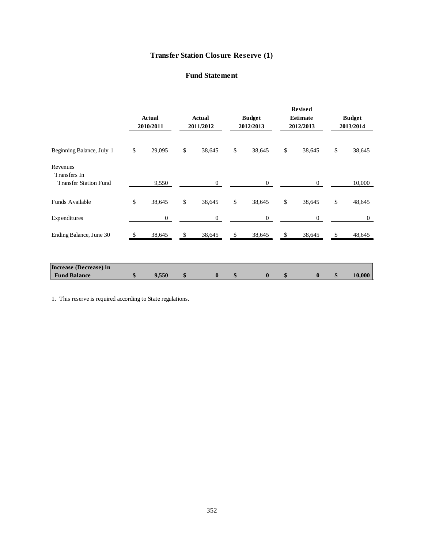# **Transfer Station Closure Reserve (1)**

# **Fund Statement**

|                                                          |                            |              |                            |      |                            |      | <b>Revised</b>               |                            |
|----------------------------------------------------------|----------------------------|--------------|----------------------------|------|----------------------------|------|------------------------------|----------------------------|
|                                                          | <b>Actual</b><br>2010/2011 |              | <b>Actual</b><br>2011/2012 |      | <b>Budget</b><br>2012/2013 |      | <b>Estimate</b><br>2012/2013 | <b>Budget</b><br>2013/2014 |
| Beginning Balance, July 1                                | \$<br>29,095               | $\mathbb{S}$ | 38,645                     | $\$$ | 38,645                     | $\$$ | 38,645                       | \$<br>38,645               |
| Revenues<br>Transfers In<br><b>Transfer Station Fund</b> | 9,550                      |              | $\mathbf{0}$               |      | $\overline{0}$             |      | $\overline{0}$               | 10,000                     |
| <b>Funds Available</b>                                   | \$<br>38,645               | \$           | 38,645                     | \$   | 38,645                     | \$   | 38,645                       | \$<br>48,645               |
| Expenditures                                             | $\boldsymbol{0}$           |              | $\boldsymbol{0}$           |      | $\mathbf{0}$               |      | $\boldsymbol{0}$             | $\mathbf{0}$               |
| Ending Balance, June 30                                  | 38,645                     | -S           | 38,645                     | \$   | 38,645                     | \$   | 38,645                       | \$<br>48,645               |
|                                                          |                            |              |                            |      |                            |      |                              |                            |
| Increase (Decrease) in<br><b>Fund Balance</b>            | \$<br>9,550                | \$           | $\bf{0}$                   | \$   | $\bf{0}$                   | \$   | $\bf{0}$                     | \$<br>10,000               |

1. This reserve is required according to State regulations.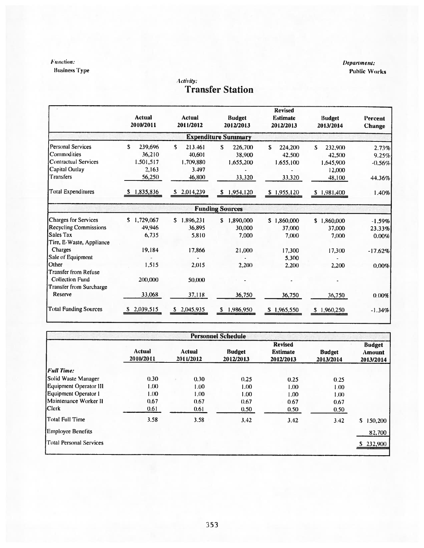# **Function:**

**Business Type** 

# Activity:<br> **Transfer Station**

|                                                                        | Actual<br>2010/2011                 |    | <b>Actual</b><br>2011/2012     | <b>Budget</b><br>2012/2013 | <b>Revised</b><br><b>Estimate</b><br>2012/2013 | <b>Budget</b><br>2013/2014    | Percent<br><b>Change</b> |
|------------------------------------------------------------------------|-------------------------------------|----|--------------------------------|----------------------------|------------------------------------------------|-------------------------------|--------------------------|
|                                                                        |                                     |    |                                | <b>Expenditure Summary</b> |                                                |                               |                          |
| <b>Personal Services</b><br>Commodities<br><b>Contractual Services</b> | S<br>239.696<br>36,210<br>1.501.517 | s. | 213.461<br>40,601<br>1.709.880 | S.<br>226,700<br>38,900    | S.<br>224,200<br>42,500<br>1,655,100           | S.<br>232,900<br>42,500       | 2.73%<br>9.25%           |
| Capital Outlay<br><b>Transfers</b>                                     | 2.163<br>56,250                     |    | 3.497<br>46,800                | 1,655,200<br>33,320        | 33,320                                         | 1,645,900<br>12,000<br>48,100 | $-0.56%$<br>44.36%       |
| Total Expenditures                                                     | 1,835,836<br>$\mathbf{S}$           | S. | 2,014,239                      | 1,954,120<br>S             | \$1,955,120                                    | \$1,981,400                   | 1.40%                    |
|                                                                        |                                     |    |                                | <b>Funding Sources</b>     |                                                |                               |                          |
| <b>Charges for Services</b>                                            | \$1,729,067                         | S. | 1,896,231                      | 1,890,000<br>S             | \$1,860,000                                    | \$1,860,000                   | $-1.59%$                 |
| <b>Recycling Commissions</b>                                           | 49.946                              |    | 36,895                         | 30,000                     | 37,000                                         | 37,000                        | 23.33%                   |
| Sales Tax                                                              | 6,735                               |    | 5,810                          | 7,000                      | 7,000                                          | 7,000                         | 0.00%                    |
| Tire, E-Waste, Appliance                                               |                                     |    |                                |                            |                                                |                               |                          |
| Charges                                                                | 19.184                              |    | 17,866                         | 21,000                     | 17,300                                         | 17,300                        | $-17.62%$                |
| Sale of Equipment                                                      |                                     |    |                                |                            | 5.300                                          |                               |                          |
| Other                                                                  | 1.515                               |    | 2.015                          | 2,200                      | 2,200                                          | 2,200                         | 0.00%                    |
| Transfer from Refuse                                                   |                                     |    |                                |                            |                                                |                               |                          |
| <b>Collection Fund</b>                                                 | 200,000                             |    | 50,000                         |                            |                                                |                               |                          |
| Transfer from Surcharge                                                |                                     |    |                                |                            |                                                |                               |                          |
| Reserve                                                                | 33,068                              |    | 37,118                         | 36,750                     | 36,750                                         | 36,750                        | 0.00%                    |
| <b>Total Funding Sources</b>                                           | 2,039,515<br>S.                     |    | \$2,045,935                    | 1,986,950<br>s.            | \$1,965,550                                    | \$1,960,250                   | $-1.34%$                 |

|                          |                            |                            | <b>Personnel Schedule</b>  |                                                |                            |                                             |
|--------------------------|----------------------------|----------------------------|----------------------------|------------------------------------------------|----------------------------|---------------------------------------------|
|                          | <b>Actual</b><br>2010/2011 | <b>Actual</b><br>2011/2012 | <b>Budget</b><br>2012/2013 | <b>Revised</b><br><b>Estimate</b><br>2012/2013 | <b>Budget</b><br>2013/2014 | <b>Budget</b><br><b>Amount</b><br>2013/2014 |
| <b>Full Time:</b>        |                            |                            |                            |                                                |                            |                                             |
| Solid Waste Manager      | 0.30                       | 0.30                       | 0.25                       | 0.25                                           | 0.25                       |                                             |
| Equipment Operator III   | 1.00                       | 1.00                       | 1.00                       | 1.00                                           | 1.00                       |                                             |
| Equipment Operator 1     | 1.00                       | 1.00                       | 1.00                       | 1.00                                           | 1.00                       |                                             |
| Maintenance Worker II    | 0.67                       | 0.67                       | 0.67                       | 0.67                                           | 0.67                       |                                             |
| <b>Clerk</b>             | 0.61                       | 0.61                       | 0.50                       | 0.50                                           | 0.50                       |                                             |
| <b>Total Full Time</b>   | 3.58                       | 3.58                       | 3,42                       | 3.42                                           | 3.42                       | S.<br>150,200                               |
| <b>Employee Benefits</b> |                            |                            |                            |                                                |                            | 82,700                                      |
| Total Personal Services  |                            |                            |                            |                                                |                            | \$232,900                                   |